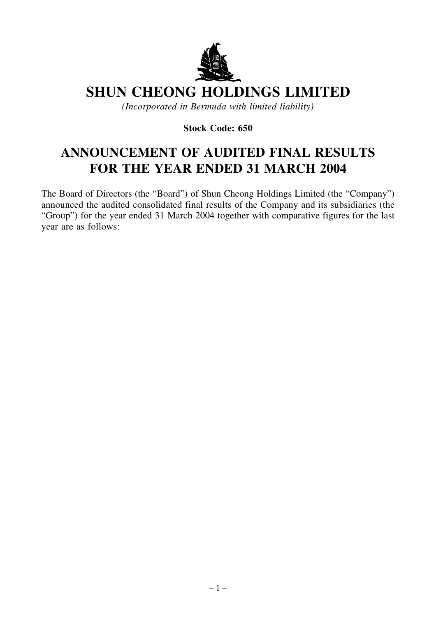

# **SHUN CHEONG HOLDINGS LIMITED**

*(Incorporated in Bermuda with limited liability)*

**Stock Code: 650**

# **ANNOUNCEMENT OF AUDITED FINAL RESULTS FOR THE YEAR ENDED 31 MARCH 2004**

The Board of Directors (the "Board") of Shun Cheong Holdings Limited (the "Company") announced the audited consolidated final results of the Company and its subsidiaries (the "Group") for the year ended 31 March 2004 together with comparative figures for the last year are as follows: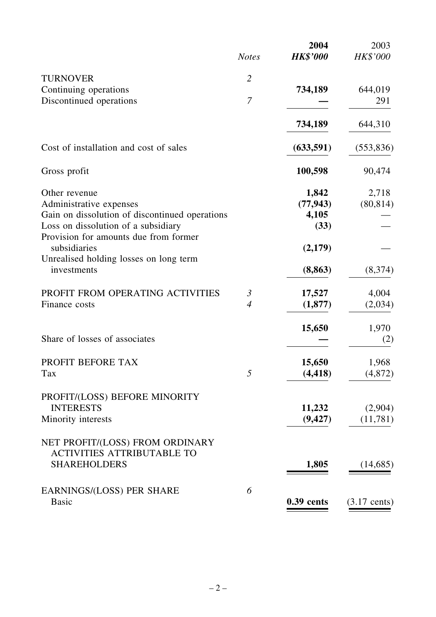|                                                       | <b>Notes</b>   | 2004<br><b>HK\$'000</b> | 2003<br><b>HK\$'000</b> |
|-------------------------------------------------------|----------------|-------------------------|-------------------------|
|                                                       |                |                         |                         |
| <b>TURNOVER</b>                                       | $\overline{2}$ |                         |                         |
| Continuing operations                                 | $\overline{7}$ | 734,189                 | 644,019                 |
| Discontinued operations                               |                |                         | 291                     |
|                                                       |                | 734,189                 | 644,310                 |
| Cost of installation and cost of sales                |                | (633,591)               | (553, 836)              |
| Gross profit                                          |                | 100,598                 | 90,474                  |
| Other revenue                                         |                | 1,842                   | 2,718                   |
| Administrative expenses                               |                | (77, 943)               | (80, 814)               |
| Gain on dissolution of discontinued operations        |                | 4,105                   |                         |
| Loss on dissolution of a subsidiary                   |                | (33)                    |                         |
| Provision for amounts due from former                 |                |                         |                         |
| subsidiaries                                          |                | (2,179)                 |                         |
| Unrealised holding losses on long term<br>investments |                | (8, 863)                | (8,374)                 |
| PROFIT FROM OPERATING ACTIVITIES                      | $\mathfrak{Z}$ | 17,527                  | 4,004                   |
| Finance costs                                         | $\overline{4}$ | (1,877)                 | (2,034)                 |
|                                                       |                |                         |                         |
| Share of losses of associates                         |                | 15,650                  | 1,970                   |
|                                                       |                |                         | (2)                     |
| PROFIT BEFORE TAX                                     |                | 15,650                  | 1,968                   |
| Tax                                                   | 5              | (4, 418)                | (4,872)                 |
| PROFIT/(LOSS) BEFORE MINORITY                         |                |                         |                         |
| <b>INTERESTS</b>                                      |                | 11,232                  | (2,904)                 |
| Minority interests                                    |                | (9, 427)                | (11, 781)               |
|                                                       |                |                         |                         |
| NET PROFIT/(LOSS) FROM ORDINARY                       |                |                         |                         |
| <b>ACTIVITIES ATTRIBUTABLE TO</b>                     |                |                         |                         |
| <b>SHAREHOLDERS</b>                                   |                | 1,805                   | (14,685)                |
| <b>EARNINGS/(LOSS) PER SHARE</b>                      | 6              |                         |                         |
| <b>Basic</b>                                          |                | $0.39$ cents            | $(3.17$ cents)          |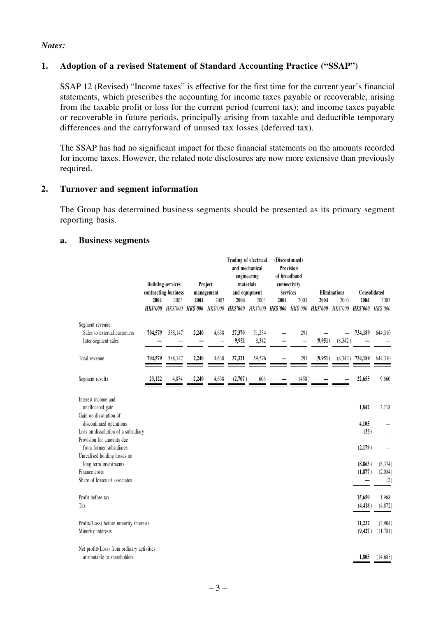#### *Notes:*

#### **1. Adoption of a revised Statement of Standard Accounting Practice ("SSAP")**

SSAP 12 (Revised) "Income taxes" is effective for the first time for the current year's financial statements, which prescribes the accounting for income taxes payable or recoverable, arising from the taxable profit or loss for the current period (current tax); and income taxes payable or recoverable in future periods, principally arising from taxable and deductible temporary differences and the carryforward of unused tax losses (deferred tax).

The SSAP has had no significant impact for these financial statements on the amounts recorded for income taxes. However, the related note disclosures are now more extensive than previously required.

#### **2. Turnover and segment information**

The Group has determined business segments should be presented as its primary segment reporting basis.

#### **a. Business segments**

|                                                                                          | <b>Building services</b><br>contracting business<br>2004<br>2003 |         | Project<br>management<br>2004<br>2003 |       | <b>Trading of electrical</b><br>and mechanical<br>engineering<br>materials<br>and equipment<br>2004<br>2003 |        | (Discontinued)<br>Provision<br>of broadband<br>connectivity<br>services<br>2004<br>2003 |       |                                     |          |                                                                                                                      |          |
|------------------------------------------------------------------------------------------|------------------------------------------------------------------|---------|---------------------------------------|-------|-------------------------------------------------------------------------------------------------------------|--------|-----------------------------------------------------------------------------------------|-------|-------------------------------------|----------|----------------------------------------------------------------------------------------------------------------------|----------|
|                                                                                          |                                                                  |         |                                       |       |                                                                                                             |        |                                                                                         |       | <b>Eliminations</b><br>2004<br>2003 |          | Consolidated<br>2004<br>2003                                                                                         |          |
|                                                                                          |                                                                  |         |                                       |       |                                                                                                             |        |                                                                                         |       |                                     |          | HK\$'000 HK\$'000 HK\$'000 HK\$'000 HK\$'000 HK\$'000 HK\$'000 HK\$'000 HK\$'000 HK\$'000 HK\$'000 HK\$'000 HK\$'000 |          |
| Segment revenue:<br>Sales to external customers                                          | 704,579                                                          | 588,147 | 2,240                                 | 4,638 | 27,370                                                                                                      | 51,234 |                                                                                         | 291   |                                     |          | 734,189                                                                                                              | 644,310  |
| Inter-segment sales                                                                      |                                                                  |         |                                       |       | 9,951                                                                                                       | 8,342  |                                                                                         |       | (9,951)                             | (8, 342) |                                                                                                                      |          |
| Total revenue                                                                            | 704,579                                                          | 588,147 | 2,240                                 | 4,638 | 37,321                                                                                                      | 59,576 |                                                                                         | 291   | (9,951)                             |          | $(8,342)$ 734,189                                                                                                    | 644,310  |
| Segment results                                                                          | 23,122                                                           | 4,874   | 2,240                                 | 4,638 | (2,707)                                                                                                     | 606    |                                                                                         | (458) |                                     |          | 22,655                                                                                                               | 9,660    |
| Interest income and<br>unallocated gain                                                  |                                                                  |         |                                       |       |                                                                                                             |        |                                                                                         |       |                                     |          | 1,842                                                                                                                | 2,718    |
| Gain on dissolution of<br>discontinued operations<br>Loss on dissolution of a subsidiary |                                                                  |         |                                       |       |                                                                                                             |        |                                                                                         |       |                                     |          | 4,105<br>(33)                                                                                                        |          |
| Provision for amounts due<br>from former subsidiares                                     |                                                                  |         |                                       |       |                                                                                                             |        |                                                                                         |       |                                     |          | (2,179)                                                                                                              |          |
| Unrealised holding losses on<br>long term investments                                    |                                                                  |         |                                       |       |                                                                                                             |        |                                                                                         |       |                                     |          | (8, 863)                                                                                                             | (8,374)  |
| Finance costs                                                                            |                                                                  |         |                                       |       |                                                                                                             |        |                                                                                         |       |                                     |          | (1, 877)                                                                                                             | (2,034)  |
| Share of losses of associates                                                            |                                                                  |         |                                       |       |                                                                                                             |        |                                                                                         |       |                                     |          |                                                                                                                      | (2)      |
| Profit before tax                                                                        |                                                                  |         |                                       |       |                                                                                                             |        |                                                                                         |       |                                     |          | 15,650                                                                                                               | 1,968    |
| Tax                                                                                      |                                                                  |         |                                       |       |                                                                                                             |        |                                                                                         |       |                                     |          | (4, 418)                                                                                                             | (4, 872) |
| Profit/(Loss) before minority interests                                                  |                                                                  |         |                                       |       |                                                                                                             |        |                                                                                         |       |                                     |          | 11,232                                                                                                               | (2,904)  |
| Minority interests                                                                       |                                                                  |         |                                       |       |                                                                                                             |        |                                                                                         |       |                                     |          | (9, 427)                                                                                                             | (11,781) |
| Net profit/(Loss) from ordinary activities<br>attributable to shareholders               |                                                                  |         |                                       |       |                                                                                                             |        |                                                                                         |       |                                     |          | 1,805                                                                                                                | (14,685) |
|                                                                                          |                                                                  |         |                                       |       |                                                                                                             |        |                                                                                         |       |                                     |          |                                                                                                                      |          |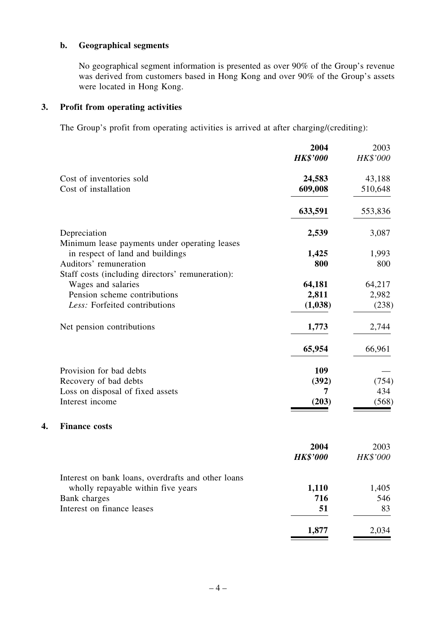## **b. Geographical segments**

No geographical segment information is presented as over 90% of the Group's revenue was derived from customers based in Hong Kong and over 90% of the Group's assets were located in Hong Kong.

#### **3. Profit from operating activities**

**4. Finance costs**

The Group's profit from operating activities is arrived at after charging/(crediting):

|                                                    | 2004            | 2003     |
|----------------------------------------------------|-----------------|----------|
|                                                    | <b>HK\$'000</b> | HK\$'000 |
| Cost of inventories sold                           | 24,583          | 43,188   |
| Cost of installation                               | 609,008         | 510,648  |
|                                                    | 633,591         | 553,836  |
| Depreciation                                       | 2,539           | 3,087    |
| Minimum lease payments under operating leases      |                 |          |
| in respect of land and buildings                   | 1,425           | 1,993    |
| Auditors' remuneration                             | 800             | 800      |
| Staff costs (including directors' remuneration):   |                 |          |
| Wages and salaries                                 | 64,181          | 64,217   |
| Pension scheme contributions                       | 2,811           | 2,982    |
| Less: Forfeited contributions                      | (1,038)         | (238)    |
| Net pension contributions                          | 1,773           | 2,744    |
|                                                    | 65,954          | 66,961   |
| Provision for bad debts                            | 109             |          |
| Recovery of bad debts                              | (392)           | (754)    |
| Loss on disposal of fixed assets                   | 7               | 434      |
| Interest income                                    | (203)           | (568)    |
| <b>Finance costs</b>                               |                 |          |
|                                                    | 2004            | 2003     |
|                                                    | <b>HK\$'000</b> | HK\$'000 |
| Interest on bank loans, overdrafts and other loans |                 |          |
| wholly repayable within five years                 | 1,110           | 1,405    |
| Bank charges                                       | 716             | 546      |
| Interest on finance leases                         | 51              | 83       |
|                                                    |                 |          |

1,877 2,034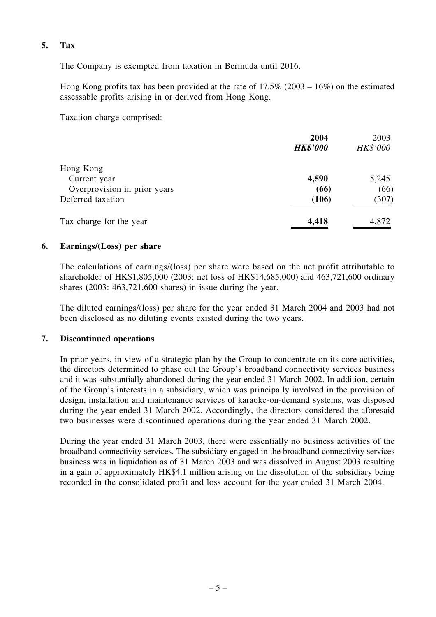#### **5. Tax**

The Company is exempted from taxation in Bermuda until 2016.

Hong Kong profits tax has been provided at the rate of 17.5% (2003 – 16%) on the estimated assessable profits arising in or derived from Hong Kong.

Taxation charge comprised:

|                              | 2004<br><b>HK\$'000</b> | 2003<br>HK\$'000 |
|------------------------------|-------------------------|------------------|
| Hong Kong                    |                         |                  |
| Current year                 | 4,590                   | 5,245            |
| Overprovision in prior years | (66)                    | (66)             |
| Deferred taxation            | (106)                   | (307)            |
| Tax charge for the year      | 4,418                   | 4,872            |

#### **6. Earnings/(Loss) per share**

The calculations of earnings/(loss) per share were based on the net profit attributable to shareholder of HK\$1,805,000 (2003: net loss of HK\$14,685,000) and 463,721,600 ordinary shares (2003: 463,721,600 shares) in issue during the year.

The diluted earnings/(loss) per share for the year ended 31 March 2004 and 2003 had not been disclosed as no diluting events existed during the two years.

#### **7. Discontinued operations**

In prior years, in view of a strategic plan by the Group to concentrate on its core activities, the directors determined to phase out the Group's broadband connectivity services business and it was substantially abandoned during the year ended 31 March 2002. In addition, certain of the Group's interests in a subsidiary, which was principally involved in the provision of design, installation and maintenance services of karaoke-on-demand systems, was disposed during the year ended 31 March 2002. Accordingly, the directors considered the aforesaid two businesses were discontinued operations during the year ended 31 March 2002.

During the year ended 31 March 2003, there were essentially no business activities of the broadband connectivity services. The subsidiary engaged in the broadband connectivity services business was in liquidation as of 31 March 2003 and was dissolved in August 2003 resulting in a gain of approximately HK\$4.1 million arising on the dissolution of the subsidiary being recorded in the consolidated profit and loss account for the year ended 31 March 2004.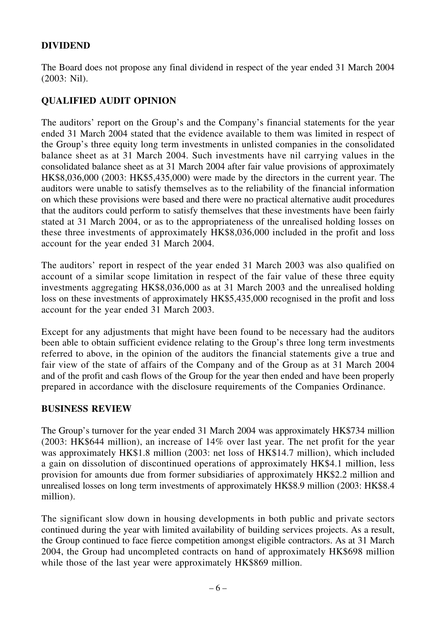## **DIVIDEND**

The Board does not propose any final dividend in respect of the year ended 31 March 2004 (2003: Nil).

# **QUALIFIED AUDIT OPINION**

The auditors' report on the Group's and the Company's financial statements for the year ended 31 March 2004 stated that the evidence available to them was limited in respect of the Group's three equity long term investments in unlisted companies in the consolidated balance sheet as at 31 March 2004. Such investments have nil carrying values in the consolidated balance sheet as at 31 March 2004 after fair value provisions of approximately HK\$8,036,000 (2003: HK\$5,435,000) were made by the directors in the current year. The auditors were unable to satisfy themselves as to the reliability of the financial information on which these provisions were based and there were no practical alternative audit procedures that the auditors could perform to satisfy themselves that these investments have been fairly stated at 31 March 2004, or as to the appropriateness of the unrealised holding losses on these three investments of approximately HK\$8,036,000 included in the profit and loss account for the year ended 31 March 2004.

The auditors' report in respect of the year ended 31 March 2003 was also qualified on account of a similar scope limitation in respect of the fair value of these three equity investments aggregating HK\$8,036,000 as at 31 March 2003 and the unrealised holding loss on these investments of approximately HK\$5,435,000 recognised in the profit and loss account for the year ended 31 March 2003.

Except for any adjustments that might have been found to be necessary had the auditors been able to obtain sufficient evidence relating to the Group's three long term investments referred to above, in the opinion of the auditors the financial statements give a true and fair view of the state of affairs of the Company and of the Group as at 31 March 2004 and of the profit and cash flows of the Group for the year then ended and have been properly prepared in accordance with the disclosure requirements of the Companies Ordinance.

## **BUSINESS REVIEW**

The Group's turnover for the year ended 31 March 2004 was approximately HK\$734 million (2003: HK\$644 million), an increase of 14% over last year. The net profit for the year was approximately HK\$1.8 million (2003: net loss of HK\$14.7 million), which included a gain on dissolution of discontinued operations of approximately HK\$4.1 million, less provision for amounts due from former subsidiaries of approximately HK\$2.2 million and unrealised losses on long term investments of approximately HK\$8.9 million (2003: HK\$8.4 million).

The significant slow down in housing developments in both public and private sectors continued during the year with limited availability of building services projects. As a result, the Group continued to face fierce competition amongst eligible contractors. As at 31 March 2004, the Group had uncompleted contracts on hand of approximately HK\$698 million while those of the last year were approximately HK\$869 million.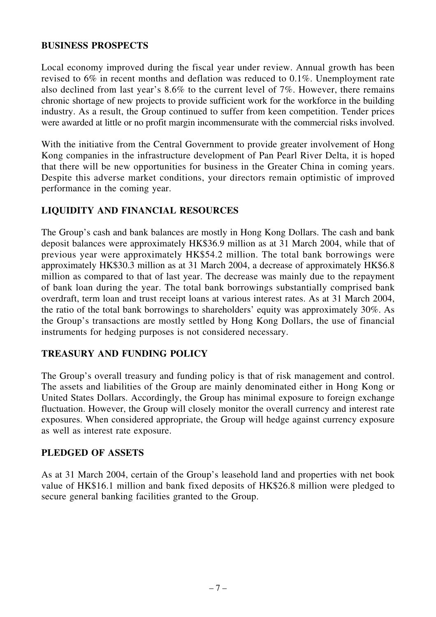#### **BUSINESS PROSPECTS**

Local economy improved during the fiscal year under review. Annual growth has been revised to 6% in recent months and deflation was reduced to 0.1%. Unemployment rate also declined from last year's 8.6% to the current level of 7%. However, there remains chronic shortage of new projects to provide sufficient work for the workforce in the building industry. As a result, the Group continued to suffer from keen competition. Tender prices were awarded at little or no profit margin incommensurate with the commercial risks involved.

With the initiative from the Central Government to provide greater involvement of Hong Kong companies in the infrastructure development of Pan Pearl River Delta, it is hoped that there will be new opportunities for business in the Greater China in coming years. Despite this adverse market conditions, your directors remain optimistic of improved performance in the coming year.

## **LIQUIDITY AND FINANCIAL RESOURCES**

The Group's cash and bank balances are mostly in Hong Kong Dollars. The cash and bank deposit balances were approximately HK\$36.9 million as at 31 March 2004, while that of previous year were approximately HK\$54.2 million. The total bank borrowings were approximately HK\$30.3 million as at 31 March 2004, a decrease of approximately HK\$6.8 million as compared to that of last year. The decrease was mainly due to the repayment of bank loan during the year. The total bank borrowings substantially comprised bank overdraft, term loan and trust receipt loans at various interest rates. As at 31 March 2004, the ratio of the total bank borrowings to shareholders' equity was approximately 30%. As the Group's transactions are mostly settled by Hong Kong Dollars, the use of financial instruments for hedging purposes is not considered necessary.

## **TREASURY AND FUNDING POLICY**

The Group's overall treasury and funding policy is that of risk management and control. The assets and liabilities of the Group are mainly denominated either in Hong Kong or United States Dollars. Accordingly, the Group has minimal exposure to foreign exchange fluctuation. However, the Group will closely monitor the overall currency and interest rate exposures. When considered appropriate, the Group will hedge against currency exposure as well as interest rate exposure.

## **PLEDGED OF ASSETS**

As at 31 March 2004, certain of the Group's leasehold land and properties with net book value of HK\$16.1 million and bank fixed deposits of HK\$26.8 million were pledged to secure general banking facilities granted to the Group.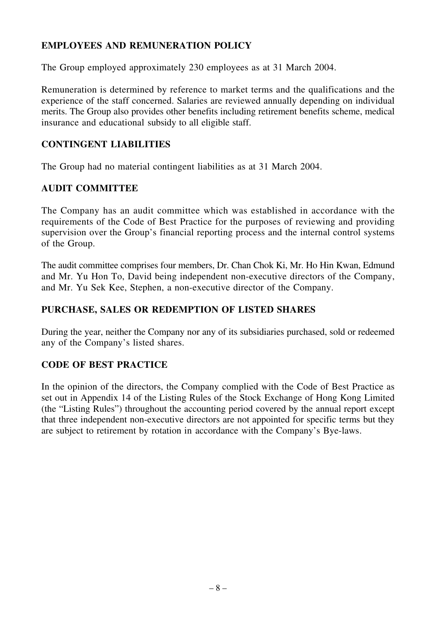## **EMPLOYEES AND REMUNERATION POLICY**

The Group employed approximately 230 employees as at 31 March 2004.

Remuneration is determined by reference to market terms and the qualifications and the experience of the staff concerned. Salaries are reviewed annually depending on individual merits. The Group also provides other benefits including retirement benefits scheme, medical insurance and educational subsidy to all eligible staff.

#### **CONTINGENT LIABILITIES**

The Group had no material contingent liabilities as at 31 March 2004.

## **AUDIT COMMITTEE**

The Company has an audit committee which was established in accordance with the requirements of the Code of Best Practice for the purposes of reviewing and providing supervision over the Group's financial reporting process and the internal control systems of the Group.

The audit committee comprises four members, Dr. Chan Chok Ki, Mr. Ho Hin Kwan, Edmund and Mr. Yu Hon To, David being independent non-executive directors of the Company, and Mr. Yu Sek Kee, Stephen, a non-executive director of the Company.

## **PURCHASE, SALES OR REDEMPTION OF LISTED SHARES**

During the year, neither the Company nor any of its subsidiaries purchased, sold or redeemed any of the Company's listed shares.

## **CODE OF BEST PRACTICE**

In the opinion of the directors, the Company complied with the Code of Best Practice as set out in Appendix 14 of the Listing Rules of the Stock Exchange of Hong Kong Limited (the "Listing Rules") throughout the accounting period covered by the annual report except that three independent non-executive directors are not appointed for specific terms but they are subject to retirement by rotation in accordance with the Company's Bye-laws.